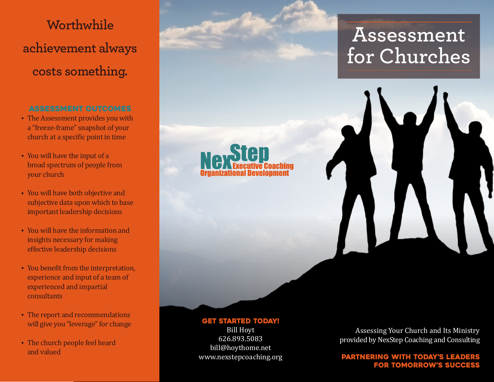# **Worthwhile achievement always costs something.**

## Assessment Outcomes

- The Assessment provides you with a "freeze-frame" snapshot of your church at a specific point in time
- You will have the input of a broad spectrum of people from your church
- You will have both objective and subjective data upon which to base important leadership decisions
- You will have the information and insights necessary for making effective leadership decisions
- You benefit from the interpretation, experience and input of a team of experienced and impartial consultants
- The report and recommendations will give you "leverage" for change
- The church people feel heard and valued

**Assessment for Churches**

#### get started today!

Bill Hoyt 626.893.5083 bill@hoythome.net www.nexstepcoaching.org

Assessing Your Church and Its Ministry provided by NexStep Coaching and Consulting

### Partnering with today's leaders for tomorrow's success